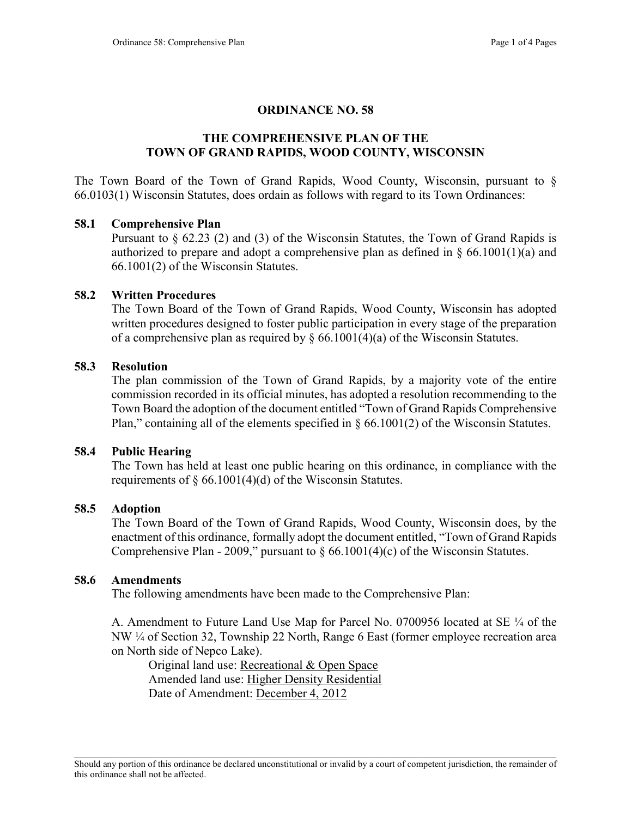# ORDINANCE NO. 58

# THE COMPREHENSIVE PLAN OF THE TOWN OF GRAND RAPIDS, WOOD COUNTY, WISCONSIN

The Town Board of the Town of Grand Rapids, Wood County, Wisconsin, pursuant to § 66.0103(1) Wisconsin Statutes, does ordain as follows with regard to its Town Ordinances:

#### 58.1 Comprehensive Plan

Pursuant to § 62.23 (2) and (3) of the Wisconsin Statutes, the Town of Grand Rapids is authorized to prepare and adopt a comprehensive plan as defined in  $\S$  66.1001(1)(a) and 66.1001(2) of the Wisconsin Statutes.

#### 58.2 Written Procedures

The Town Board of the Town of Grand Rapids, Wood County, Wisconsin has adopted written procedures designed to foster public participation in every stage of the preparation of a comprehensive plan as required by  $\S$  66.1001(4)(a) of the Wisconsin Statutes.

#### 58.3 Resolution

The plan commission of the Town of Grand Rapids, by a majority vote of the entire commission recorded in its official minutes, has adopted a resolution recommending to the Town Board the adoption of the document entitled "Town of Grand Rapids Comprehensive Plan," containing all of the elements specified in  $\S$  66.1001(2) of the Wisconsin Statutes.

#### 58.4 Public Hearing

The Town has held at least one public hearing on this ordinance, in compliance with the requirements of  $\S$  66.1001(4)(d) of the Wisconsin Statutes.

#### 58.5 Adoption

The Town Board of the Town of Grand Rapids, Wood County, Wisconsin does, by the enactment of this ordinance, formally adopt the document entitled, "Town of Grand Rapids Comprehensive Plan - 2009," pursuant to  $\S 66.1001(4)(c)$  of the Wisconsin Statutes.

## 58.6 Amendments

The following amendments have been made to the Comprehensive Plan:

 A. Amendment to Future Land Use Map for Parcel No. 0700956 located at SE ¼ of the NW ¼ of Section 32, Township 22 North, Range 6 East (former employee recreation area on North side of Nepco Lake).

 Original land use: Recreational & Open Space Amended land use: Higher Density Residential Date of Amendment: December 4, 2012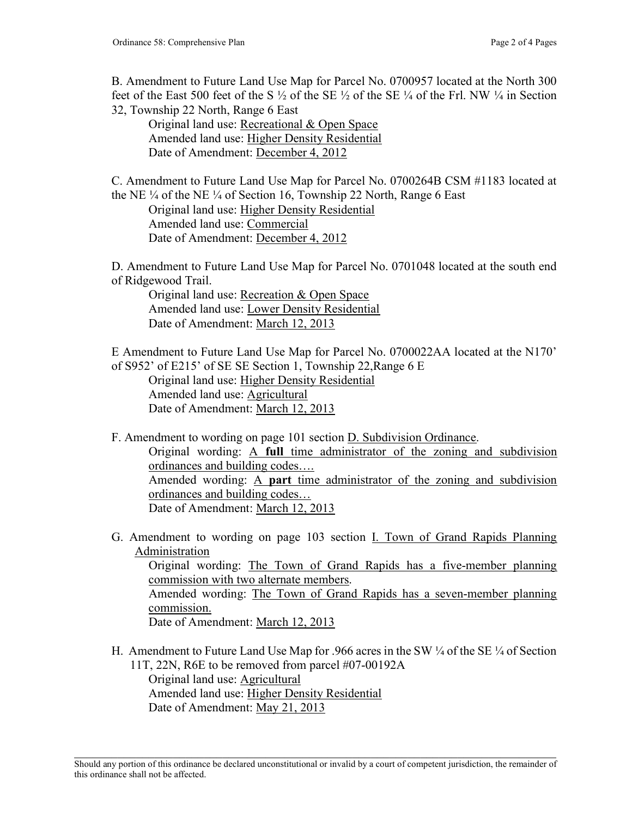B. Amendment to Future Land Use Map for Parcel No. 0700957 located at the North 300 feet of the East 500 feet of the S  $\frac{1}{2}$  of the SE  $\frac{1}{2}$  of the SE  $\frac{1}{4}$  of the Frl. NW  $\frac{1}{4}$  in Section 32, Township 22 North, Range 6 East

 Original land use: Recreational & Open Space Amended land use: Higher Density Residential Date of Amendment: December 4, 2012

C. Amendment to Future Land Use Map for Parcel No. 0700264B CSM #1183 located at the NE ¼ of the NE ¼ of Section 16, Township 22 North, Range 6 East Original land use: Higher Density Residential Amended land use: Commercial Date of Amendment: December 4, 2012

D. Amendment to Future Land Use Map for Parcel No. 0701048 located at the south end of Ridgewood Trail.

 Original land use: Recreation & Open Space Amended land use: Lower Density Residential Date of Amendment: March 12, 2013

E Amendment to Future Land Use Map for Parcel No. 0700022AA located at the N170' of S952' of E215' of SE SE Section 1, Township 22,Range 6 E

 Original land use: Higher Density Residential Amended land use: Agricultural Date of Amendment: March 12, 2013

F. Amendment to wording on page 101 section D. Subdivision Ordinance. Original wording: A full time administrator of the zoning and subdivision ordinances and building codes…. Amended wording: A part time administrator of the zoning and subdivision ordinances and building codes… Date of Amendment: March 12, 2013

G. Amendment to wording on page 103 section I. Town of Grand Rapids Planning Administration

 Original wording: The Town of Grand Rapids has a five-member planning commission with two alternate members.

Amended wording: The Town of Grand Rapids has a seven-member planning commission.

Date of Amendment: March 12, 2013

- H. Amendment to Future Land Use Map for .966 acres in the SW ¼ of the SE ¼ of Section 11T, 22N, R6E to be removed from parcel #07-00192A Original land use: Agricultural Amended land use: Higher Density Residential
	- Date of Amendment: May 21, 2013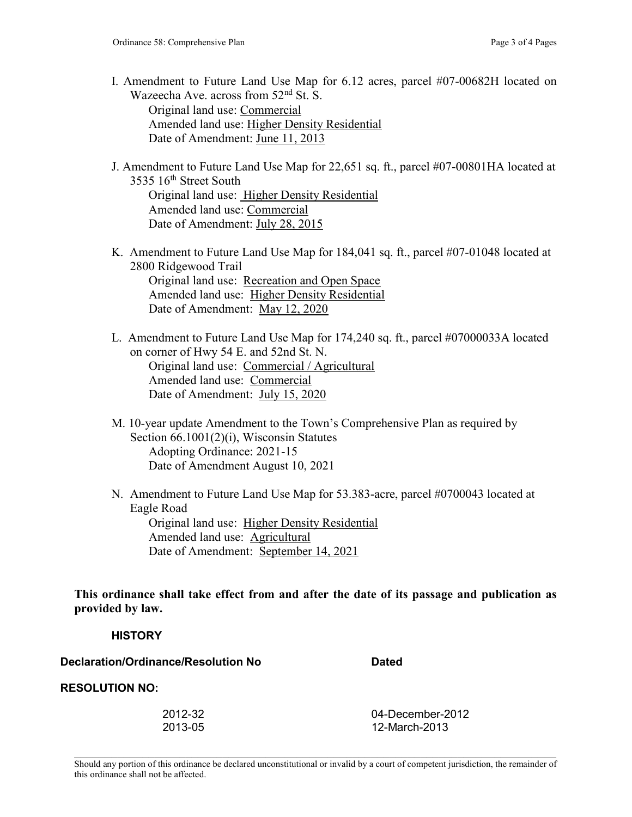- I. Amendment to Future Land Use Map for 6.12 acres, parcel #07-00682H located on Wazeecha Ave. across from  $52<sup>nd</sup>$  St. S. Original land use: Commercial Amended land use: Higher Density Residential Date of Amendment: June 11, 2013
- J. Amendment to Future Land Use Map for 22,651 sq. ft., parcel #07-00801HA located at 3535 16<sup>th</sup> Street South Original land use: Higher Density Residential Amended land use: Commercial Date of Amendment: July 28, 2015
- K. Amendment to Future Land Use Map for 184,041 sq. ft., parcel #07-01048 located at 2800 Ridgewood Trail Original land use: Recreation and Open Space Amended land use: Higher Density Residential Date of Amendment: May 12, 2020
- L. Amendment to Future Land Use Map for 174,240 sq. ft., parcel #07000033A located on corner of Hwy 54 E. and 52nd St. N. Original land use: Commercial / Agricultural Amended land use: Commercial Date of Amendment: July 15, 2020
- M. 10-year update Amendment to the Town's Comprehensive Plan as required by Section 66.1001(2)(i), Wisconsin Statutes Adopting Ordinance: 2021-15 Date of Amendment August 10, 2021
- N. Amendment to Future Land Use Map for 53.383-acre, parcel #0700043 located at Eagle Road Original land use: Higher Density Residential Amended land use: Agricultural Date of Amendment: September 14, 2021

This ordinance shall take effect from and after the date of its passage and publication as provided by law.

## **HISTORY**

Declaration/Ordinance/Resolution No Dated

RESOLUTION NO:

| 2012-32 | 04-December-2012 |
|---------|------------------|
| 2013-05 | 12-March-2013    |